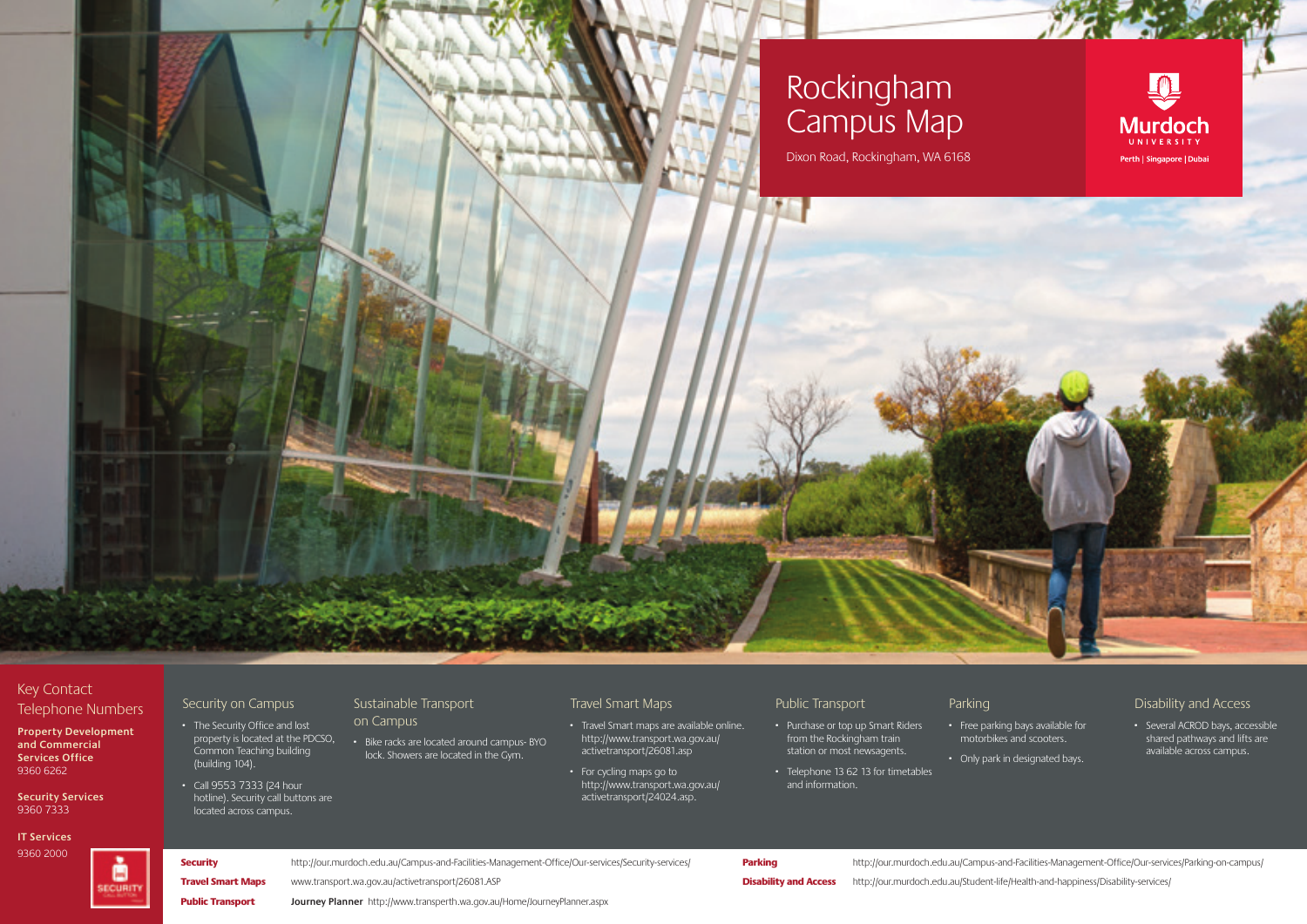## Rockingham Campus Map

Dixon Road, Rockingham, WA 6168

## **Murdoch** UNIVERSITY Perth | Singapore | Dubai

### Key Contact Telephone Numbers

**Property Development and Commercial Services Office** 9360 6262

**Security Services** 9360 7333

#### **IT Services**

9360 2000



Security on Campus

- · The Security Office and lost property is located at the PDCSO,
- (building 104). · Call 9553 7333 (24 hour hotline). Security call buttons are located across campus.

#### Sustainable Transport

- Common Teaching building on Campus · Bike racks are located around campus- BYO lock. Showers are located in the Gym.
- 

#### Travel Smart Maps

- · Travel Smart maps are available online. http://www.transport.wa.gov.au/ activetransport/26081.asp
- · For cycling maps go to http://www.transport.wa.gov.au/ activetransport/24024.asp.

#### Public Transport

- · Purchase or top up Smart Riders from the Rockingham train station or most newsagents.
- · Telephone 13 62 13 for timetables and information.

#### Parking

· Free parking bays available for motorbikes and scooters. · Only park in designated bays.

- Disability and Access
- · Several ACROD bays, accessible shared pathways and lifts are available across campus.

# Security http://our.murdoch.edu.au/Campus-and-Facilities-Management-Office/Our-services/Security-services/

Parking **Parking** http://our.murdoch.edu.au/Campus-and-Facilities-Management-Office/Our-services/Parking-on-campus/

Disability and Access http://our.murdoch.edu.au/Student-life/Health-and-happiness/Disability-services/

Public Transport **Journey Planner** http://www.transperth.wa.gov.au/Home/JourneyPlanner.aspx